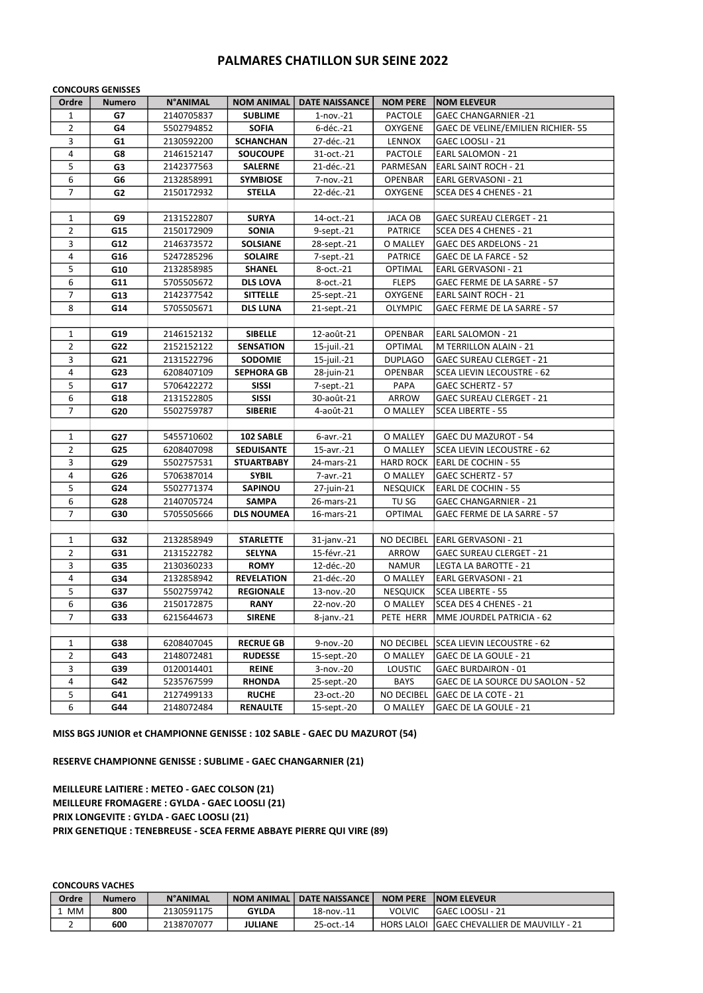## PALMARES CHATILLON SUR SEINE 2022

|                | <b>CONCOURS GENISSES</b> |                 |                   |                       |                   |                                    |  |  |
|----------------|--------------------------|-----------------|-------------------|-----------------------|-------------------|------------------------------------|--|--|
| Ordre          | <b>Numero</b>            | <b>N°ANIMAL</b> | <b>NOM ANIMAL</b> | <b>DATE NAISSANCE</b> | <b>NOM PERE</b>   | <b>NOM ELEVEUR</b>                 |  |  |
| 1              | G7                       | 2140705837      | <b>SUBLIME</b>    | $1$ -nov.- $21$       | PACTOLE           | <b>GAEC CHANGARNIER -21</b>        |  |  |
| $\overline{2}$ | G4                       | 5502794852      | <b>SOFIA</b>      | 6-déc.-21             | OXYGENE           | GAEC DE VELINE/EMILIEN RICHIER- 55 |  |  |
| 3              | G1                       | 2130592200      | <b>SCHANCHAN</b>  | 27-déc.-21            | LENNOX            | GAEC LOOSLI - 21                   |  |  |
| 4              | G8                       | 2146152147      | <b>SOUCOUPE</b>   | 31-oct.-21            | <b>PACTOLE</b>    | EARL SALOMON - 21                  |  |  |
| 5              | G3                       | 2142377563      | <b>SALERNE</b>    | 21-déc.-21            | PARMESAN          | <b>EARL SAINT ROCH - 21</b>        |  |  |
| 6              | G6                       | 2132858991      | <b>SYMBIOSE</b>   | 7-nov.-21             | OPENBAR           | EARL GERVASONI - 21                |  |  |
| $\overline{7}$ | G2                       | 2150172932      | <b>STELLA</b>     | 22-déc.-21            | OXYGENE           | SCEA DES 4 CHENES - 21             |  |  |
|                |                          |                 |                   |                       |                   |                                    |  |  |
| 1              | G9                       | 2131522807      | <b>SURYA</b>      | 14-oct.-21            | JACA OB           | <b>GAEC SUREAU CLERGET - 21</b>    |  |  |
| $\overline{2}$ | G15                      | 2150172909      | <b>SONIA</b>      | 9-sept.-21            | <b>PATRICE</b>    | SCEA DES 4 CHENES - 21             |  |  |
| 3              | G12                      | 2146373572      | <b>SOLSIANE</b>   | 28-sept.-21           | O MALLEY          | GAEC DES ARDELONS - 21             |  |  |
| 4              | G16                      | 5247285296      | <b>SOLAIRE</b>    | 7-sept.-21            | <b>PATRICE</b>    | GAEC DE LA FARCE - 52              |  |  |
| 5              | G10                      | 2132858985      | <b>SHANEL</b>     | 8-oct.-21             | OPTIMAL           | EARL GERVASONI - 21                |  |  |
| 6              | G11                      | 5705505672      | <b>DLS LOVA</b>   | 8-oct.-21             | <b>FLEPS</b>      | GAEC FERME DE LA SARRE - 57        |  |  |
| 7              | G13                      | 2142377542      | <b>SITTELLE</b>   | 25-sept.-21           | OXYGENE           | <b>EARL SAINT ROCH - 21</b>        |  |  |
| 8              | G14                      | 5705505671      | <b>DLS LUNA</b>   | 21-sept.-21           | <b>OLYMPIC</b>    | GAEC FERME DE LA SARRE - 57        |  |  |
|                |                          |                 |                   |                       |                   |                                    |  |  |
| 1              | G19                      | 2146152132      | <b>SIBELLE</b>    | 12-août-21            | OPENBAR           | EARL SALOMON - 21                  |  |  |
| $\overline{2}$ | G22                      | 2152152122      | <b>SENSATION</b>  | 15-juil.-21           | <b>OPTIMAL</b>    | M TERRILLON ALAIN - 21             |  |  |
| 3              | G21                      | 2131522796      | <b>SODOMIE</b>    | 15-juil.-21           | <b>DUPLAGO</b>    | <b>GAEC SUREAU CLERGET - 21</b>    |  |  |
| 4              | G23                      | 6208407109      | <b>SEPHORA GB</b> | 28-juin-21            | <b>OPENBAR</b>    | <b>SCEA LIEVIN LECOUSTRE - 62</b>  |  |  |
| 5              | G17                      | 5706422272      | <b>SISSI</b>      | 7-sept.-21            | PAPA              | GAEC SCHERTZ - 57                  |  |  |
| 6              | G18                      | 2131522805      | <b>SISSI</b>      | 30-août-21            | ARROW             | <b>GAEC SUREAU CLERGET - 21</b>    |  |  |
| $\overline{7}$ | G20                      | 5502759787      | <b>SIBERIE</b>    | 4-août-21             | O MALLEY          | SCEA LIBERTE - 55                  |  |  |
|                |                          |                 |                   |                       |                   |                                    |  |  |
| $\mathbf{1}$   | G27                      | 5455710602      | 102 SABLE         | $6$ -avr. $-21$       | O MALLEY          | <b>GAEC DU MAZUROT - 54</b>        |  |  |
| 2              | G25                      | 6208407098      | <b>SEDUISANTE</b> | 15-avr.-21            | O MALLEY          | SCEA LIEVIN LECOUSTRE - 62         |  |  |
| 3              | G29                      | 5502757531      | <b>STUARTBABY</b> | 24-mars-21            |                   | HARD ROCK EARL DE COCHIN - 55      |  |  |
| 4              | G26                      | 5706387014      | <b>SYBIL</b>      | 7-avr.-21             | O MALLEY          | <b>GAEC SCHERTZ - 57</b>           |  |  |
| 5              | G24                      | 5502771374      | <b>SAPINOU</b>    | 27-juin-21            | <b>NESQUICK</b>   | EARL DE COCHIN - 55                |  |  |
| 6              | G28                      | 2140705724      | <b>SAMPA</b>      | 26-mars-21            | TU SG             | <b>GAEC CHANGARNIER - 21</b>       |  |  |
| $\overline{7}$ | G30                      | 5705505666      | <b>DLS NOUMEA</b> | 16-mars-21            | OPTIMAL           | GAEC FERME DE LA SARRE - 57        |  |  |
|                |                          |                 |                   |                       |                   |                                    |  |  |
| 1              | G32                      | 2132858949      | <b>STARLETTE</b>  | $31$ -janv.- $21$     | NO DECIBEL        | EARL GERVASONI - 21                |  |  |
| $\overline{2}$ | G31                      | 2131522782      | <b>SELYNA</b>     | 15-févr.-21           | ARROW             | <b>GAEC SUREAU CLERGET - 21</b>    |  |  |
| 3              | G35                      | 2130360233      | <b>ROMY</b>       | 12-déc.-20            | <b>NAMUR</b>      | LEGTA LA BAROTTE - 21              |  |  |
| 4              | G34                      | 2132858942      | <b>REVELATION</b> | 21-déc.-20            | O MALLEY          | EARL GERVASONI - 21                |  |  |
| 5              | G37                      | 5502759742      | <b>REGIONALE</b>  | 13-nov.-20            | <b>NESQUICK</b>   | SCEA LIBERTE - 55                  |  |  |
| 6              | G36                      | 2150172875      | <b>RANY</b>       | 22-nov.-20            | O MALLEY          | SCEA DES 4 CHENES - 21             |  |  |
| 7              | G33                      | 6215644673      | <b>SIRENE</b>     | 8-janv.-21            | PETE HERR         | MME JOURDEL PATRICIA - 62          |  |  |
|                |                          |                 |                   |                       |                   |                                    |  |  |
| $\mathbf{1}$   | G38                      | 6208407045      | <b>RECRUE GB</b>  | 9-nov.-20             | NO DECIBEL        | SCEA LIEVIN LECOUSTRE - 62         |  |  |
| $\overline{2}$ | G43                      | 2148072481      | <b>RUDESSE</b>    | 15-sept.-20           | O MALLEY          | GAEC DE LA GOULE - 21              |  |  |
| 3              | G39                      | 0120014401      | REINE             | 3-nov.-20             | <b>LOUSTIC</b>    | <b>GAEC BURDAIRON - 01</b>         |  |  |
| 4              | G42                      | 5235767599      | <b>RHONDA</b>     | 25-sept.-20           | <b>BAYS</b>       | GAEC DE LA SOURCE DU SAOLON - 52   |  |  |
| 5              | G41                      | 2127499133      | <b>RUCHE</b>      | 23-oct.-20            | <b>NO DECIBEL</b> | GAEC DE LA COTE - 21               |  |  |
| 6              | G44                      | 2148072484      | <b>RENAULTE</b>   | 15-sept.-20           | O MALLEY          | GAEC DE LA GOULE - 21              |  |  |

MISS BGS JUNIOR et CHAMPIONNE GENISSE : 102 SABLE - GAEC DU MAZUROT (54)

RESERVE CHAMPIONNE GENISSE : SUBLIME - GAEC CHANGARNIER (21)

MEILLEURE LAITIERE : METEO - GAEC COLSON (21) MEILLEURE FROMAGERE : GYLDA - GAEC LOOSLI (21) PRIX LONGEVITE : GYLDA - GAEC LOOSLI (21) PRIX GENETIQUE : TENEBREUSE - SCEA FERME ABBAYE PIERRE QUI VIRE (89)

CONCOURS VACHES

| Ordre     | <b>Numero</b> | <b>N°ANIMAL</b> | <b>NOM ANIMAL</b> | <b>DATE NAISSANCE</b> | <b>NOM PERE</b>   | <b>INOM ELEVEUR</b>                     |  |  |
|-----------|---------------|-----------------|-------------------|-----------------------|-------------------|-----------------------------------------|--|--|
| <b>MM</b> | 800           | 2130591175      | <b>GYLDA</b>      | 18-nov.-11            | <b>VOLVIC</b>     | <b>IGAEC LOOSLI - 21</b>                |  |  |
|           | 600           | 2138707077      | JULIANE           | 25-oct.-14            | <b>HORS LALOI</b> | <b>GAEC CHEVALLIER DE MAUVILLY - 21</b> |  |  |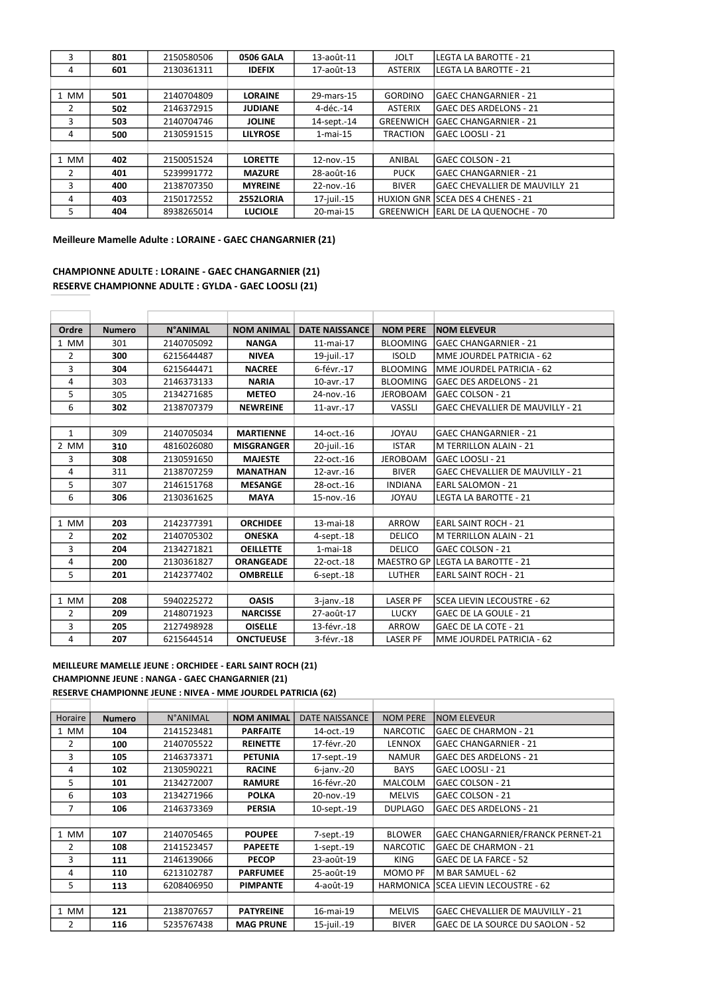| 3    | 801 | 2150580506 | <b>0506 GALA</b> | 13-août-11     | <b>JOLT</b>      | LEGTA LA BAROTTE - 21                      |
|------|-----|------------|------------------|----------------|------------------|--------------------------------------------|
| 4    | 601 | 2130361311 | <b>IDEFIX</b>    | 17-août-13     | <b>ASTERIX</b>   | LEGTA LA BAROTTE - 21                      |
|      |     |            |                  |                |                  |                                            |
| 1 MM | 501 | 2140704809 | <b>LORAINE</b>   | 29-mars-15     | <b>GORDINO</b>   | lGAEC CHANGARNIER - 21                     |
| 2    | 502 | 2146372915 | <b>JUDIANE</b>   | 4-déc.-14      | <b>ASTERIX</b>   | lGAEC DES ARDELONS - 21                    |
| 3    | 503 | 2140704746 | <b>JOLINE</b>    | 14-sept.-14    | <b>GREENWICH</b> | <b>GAEC CHANGARNIER - 21</b>               |
| 4    | 500 | 2130591515 | <b>LILYROSE</b>  | $1$ -mai- $15$ | <b>TRACTION</b>  | lGAEC LOOSLI - 21                          |
|      |     |            |                  |                |                  |                                            |
| 1 MM | 402 | 2150051524 | <b>LORETTE</b>   | 12-nov.-15     | ANIBAL           | lGAEC COLSON - 21                          |
| 2    | 401 | 5239991772 | <b>MAZURE</b>    | 28-août-16     | <b>PUCK</b>      | <b>IGAEC CHANGARNIER - 21</b>              |
| 3    | 400 | 2138707350 | <b>MYREINE</b>   | 22-nov.-16     | <b>BIVER</b>     | IGAEC CHEVALLIER DE MAUVILLY 21            |
| 4    | 403 | 2150172552 | 2552LORIA        | 17-juil.-15    |                  | HUXION GNR SCEA DES 4 CHENES - 21          |
| 5    | 404 | 8938265014 | <b>LUCIOLE</b>   | 20-mai-15      |                  | <b>GREENWICH LEARL DE LA QUENOCHE - 70</b> |

Meilleure Mamelle Adulte : LORAINE - GAEC CHANGARNIER (21)

## CHAMPIONNE ADULTE : LORAINE - GAEC CHANGARNIER (21) RESERVE CHAMPIONNE ADULTE : GYLDA - GAEC LOOSLI (21)

| Ordre          | <b>Numero</b> | <b>N°ANIMAL</b> | <b>NOM ANIMAL</b> | <b>DATE NAISSANCE</b> | <b>NOM PERE</b> | <b>NOM ELEVEUR</b>                      |
|----------------|---------------|-----------------|-------------------|-----------------------|-----------------|-----------------------------------------|
| 1 MM           | 301           | 2140705092      | <b>NANGA</b>      | 11-mai-17             | <b>BLOOMING</b> | <b>GAEC CHANGARNIER - 21</b>            |
| $\overline{2}$ | 300           | 6215644487      | <b>NIVEA</b>      | 19-juil.-17           | <b>ISOLD</b>    | MME JOURDEL PATRICIA - 62               |
| 3              | 304           | 6215644471      | <b>NACREE</b>     | 6-févr.-17            | <b>BLOOMING</b> | MME JOURDEL PATRICIA - 62               |
| 4              | 303           | 2146373133      | <b>NARIA</b>      | 10-avr.-17            | <b>BLOOMING</b> | <b>GAEC DES ARDELONS - 21</b>           |
| 5              | 305           | 2134271685      | <b>METEO</b>      | 24-nov.-16            | <b>JEROBOAM</b> | <b>GAEC COLSON - 21</b>                 |
| 6              | 302           | 2138707379      | <b>NEWREINE</b>   | 11-avr.-17            | <b>VASSLI</b>   | <b>GAEC CHEVALLIER DE MAUVILLY - 21</b> |
|                |               |                 |                   |                       |                 |                                         |
| $\mathbf{1}$   | 309           | 2140705034      | <b>MARTIENNE</b>  | 14-oct.-16            | <b>JOYAU</b>    | <b>GAEC CHANGARNIER - 21</b>            |
| 2 MM           | 310           | 4816026080      | <b>MISGRANGER</b> | 20-juil.-16           | <b>ISTAR</b>    | <b>M TERRILLON ALAIN - 21</b>           |
| 3              | 308           | 2130591650      | <b>MAJESTE</b>    | 22-oct.-16            | <b>JEROBOAM</b> | lGAEC LOOSLI - 21                       |
| 4              | 311           | 2138707259      | <b>MANATHAN</b>   | 12-avr.-16            | <b>BIVER</b>    | <b>GAEC CHEVALLIER DE MAUVILLY - 21</b> |
| 5              | 307           | 2146151768      | <b>MESANGE</b>    | 28-oct.-16            | <b>INDIANA</b>  | <b>EARL SALOMON - 21</b>                |
| 6              | 306           | 2130361625      | <b>MAYA</b>       | 15-nov.-16            | <b>JOYAU</b>    | <b>LEGTA LA BAROTTE - 21</b>            |
|                |               |                 |                   |                       |                 |                                         |
| 1 MM           | 203           | 2142377391      | <b>ORCHIDEE</b>   | 13-mai-18             | <b>ARROW</b>    | <b>EARL SAINT ROCH - 21</b>             |
| $\overline{2}$ | 202           | 2140705302      | <b>ONESKA</b>     | $4$ -sept. $-18$      | <b>DELICO</b>   | M TERRILLON ALAIN - 21                  |
| 3              | 204           | 2134271821      | <b>OEILLETTE</b>  | $1$ -mai- $18$        | <b>DELICO</b>   | <b>GAEC COLSON - 21</b>                 |
| 4              | 200           | 2130361827      | <b>ORANGEADE</b>  | 22-oct.-18            |                 | MAESTRO GP LEGTA LA BAROTTE - 21        |
| 5              | 201           | 2142377402      | <b>OMBRELLE</b>   | $6$ -sept. $-18$      | <b>LUTHER</b>   | <b>EARL SAINT ROCH - 21</b>             |
|                |               |                 |                   |                       |                 |                                         |
| 1 MM           | 208           | 5940225272      | <b>OASIS</b>      | $3$ -janv. $-18$      | <b>LASER PF</b> | SCEA LIEVIN LECOUSTRE - 62              |
| 2              | 209           | 2148071923      | <b>NARCISSE</b>   | 27-août-17            | <b>LUCKY</b>    | <b>GAEC DE LA GOULE - 21</b>            |
| 3              | 205           | 2127498928      | <b>OISELLE</b>    | 13-févr.-18           | <b>ARROW</b>    | GAEC DE LA COTE - 21                    |
| 4              | 207           | 6215644514      | <b>ONCTUEUSE</b>  | 3-févr.-18            | <b>LASER PF</b> | MME JOURDEL PATRICIA - 62               |

MEILLEURE MAMELLE JEUNE : ORCHIDEE - EARL SAINT ROCH (21) CHAMPIONNE JEUNE : NANGA - GAEC CHANGARNIER (21) RESERVE CHAMPIONNE JEUNE : NIVEA - MME JOURDEL PATRICIA (62)

| Horaire | <b>Numero</b> | <b>N°ANIMAL</b> | <b>NOM ANIMAL</b> | <b>DATE NAISSANCE</b> | <b>NOM PERE</b> | <b>NOM ELEVEUR</b>                           |
|---------|---------------|-----------------|-------------------|-----------------------|-----------------|----------------------------------------------|
| 1 MM    | 104           | 2141523481      | <b>PARFAITE</b>   | 14-oct.-19            | <b>NARCOTIC</b> | lGAEC DE CHARMON - 21                        |
| 2       | 100           | 2140705522      | <b>REINETTE</b>   | 17-févr.-20           | <b>LENNOX</b>   | <b>GAEC CHANGARNIER - 21</b>                 |
| 3       | 105           | 2146373371      | <b>PETUNIA</b>    | 17-sept.-19           | <b>NAMUR</b>    | <b>GAEC DES ARDELONS - 21</b>                |
| 4       | 102           | 2130590221      | <b>RACINE</b>     | $6$ -janv. $-20$      | <b>BAYS</b>     | <b>GAEC LOOSLI - 21</b>                      |
| 5       | 101           | 2134272007      | <b>RAMURE</b>     | 16-févr.-20           | <b>MALCOLM</b>  | lGAEC COLSON - 21                            |
| 6       | 103           | 2134271966      | <b>POLKA</b>      | 20-nov.-19            | <b>MELVIS</b>   | lGAEC COLSON - 21                            |
| 7       | 106           | 2146373369      | <b>PERSIA</b>     | 10-sept.-19           | <b>DUPLAGO</b>  | <b>GAEC DES ARDELONS - 21</b>                |
|         |               |                 |                   |                       |                 |                                              |
| 1 MM    | 107           | 2140705465      | <b>POUPEE</b>     | 7-sept.-19            | <b>BLOWER</b>   | <b>GAEC CHANGARNIER/FRANCK PERNET-21</b>     |
| 2       | 108           | 2141523457      | <b>PAPEETE</b>    | $1$ -sept. $-19$      | <b>NARCOTIC</b> | <b>GAEC DE CHARMON - 21</b>                  |
| 3       | 111           | 2146139066      | <b>PECOP</b>      | 23-août-19            | <b>KING</b>     | GAEC DE LA FARCE - 52                        |
| 4       | 110           | 6213102787      | <b>PARFUMEE</b>   | 25-août-19            | <b>MOMO PF</b>  | lM BAR SAMUEL - 62                           |
| 5.      | 113           | 6208406950      | <b>PIMPANTE</b>   | 4-août-19             |                 | <b>HARMONICA ISCEA LIEVIN LECOUSTRE - 62</b> |
|         |               |                 |                   |                       |                 |                                              |
| 1 MM    | 121           | 2138707657      | <b>PATYREINE</b>  | 16-mai-19             | <b>MELVIS</b>   | GAEC CHEVALLIER DE MAUVILLY - 21             |
| 2       | 116           | 5235767438      | <b>MAG PRUNE</b>  | 15-juil.-19           | <b>BIVER</b>    | GAEC DE LA SOURCE DU SAOLON - 52             |